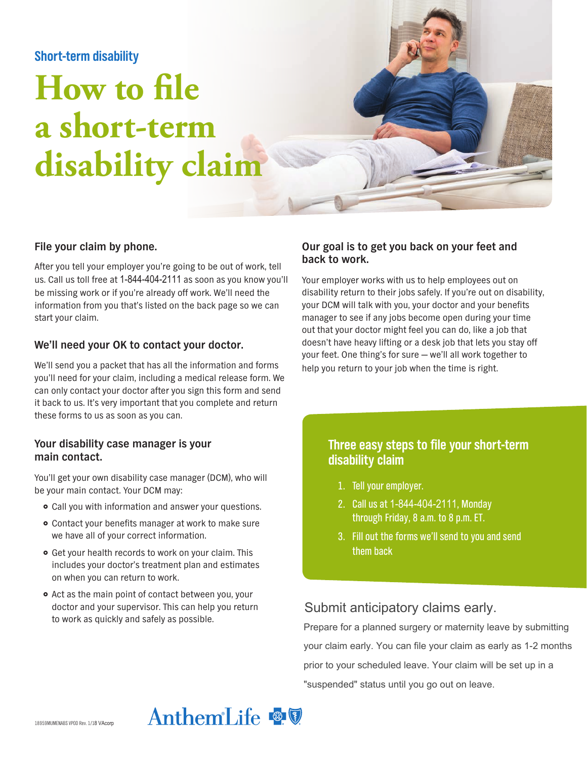# **Short-term disability**

# **How to file a short-term disability claim**



#### **File your claim by phone.**

After you tell your employer you're going to be out of work, tell us. Call us toll free at 1-844-404-2111 as soon as you know you'll be missing work or if you're already off work. We'll need the information from you that's listed on the back page so we can start your claim.

#### **We'll need your OK to contact your doctor.**

We'll send you a packet that has all the information and forms you'll need for your claim, including a medical release form. We can only contact your doctor after you sign this form and send it back to us. It's very important that you complete and return these forms to us as soon as you can.

#### **Your disability case manager is your main contact.**

You'll get your own disability case manager (DCM), who will be your main contact. Your DCM may:

- Call you with information and answer your questions.
- Contact your benefits manager at work to make sure we have all of your correct information.
- **•** Get your health records to work on your claim. This includes your doctor's treatment plan and estimates on when you can return to work.
- Act as the main point of contact between you, your doctor and your supervisor. This can help you return to work as quickly and safely as possible.

#### **Our goal is to get you back on your feet and back to work.**

Your employer works with us to help employees out on disability return to their jobs safely. If you're out on disability, your DCM will talk with you, your doctor and your benefits manager to see if any jobs become open during your time out that your doctor might feel you can do, like a job that doesn't have heavy lifting or a desk job that lets you stay off your feet. One thing's for sure — we'll all work together to help you return to your job when the time is right.

# **Three easy steps to file your short-term disability claim**

- 1. Tell your employer.
- 2. Call us at 1-844-404-2111, Monday through Friday, 8 a.m. to 8 p.m. ET.
- 3. Fill out the forms we'll send to you and send them back

# Submit anticipatory claims early.

Prepare for a planned surgery or maternity leave by submitting your claim early. You can file your claim as early as 1-2 months prior to your scheduled leave. Your claim will be set up in a "suspended" status until you go out on leave.